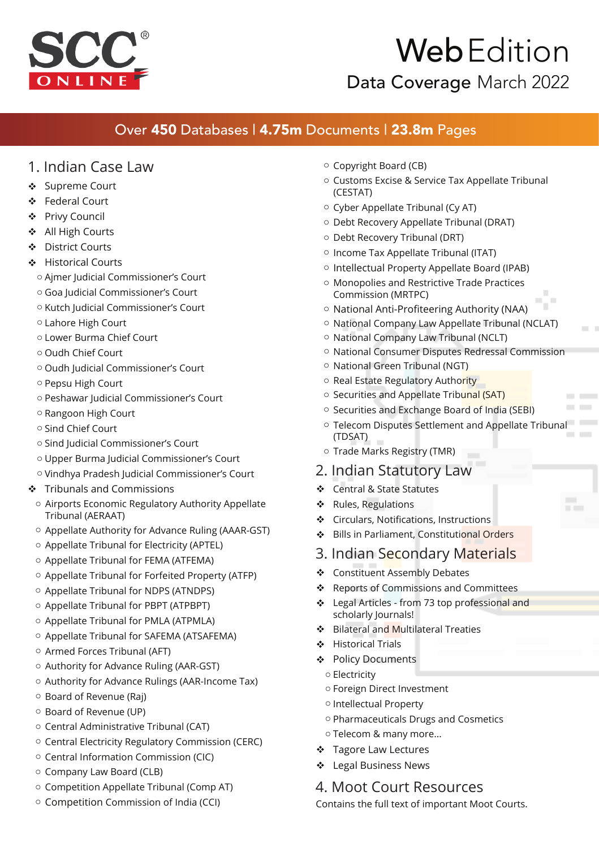

# Web Edition

Data Coverage March 2022

### Over 450 Databases | 4.75m Documents | 23.8m Pages

#### 1. Indian Case Law

- Supreme Court
- Federal Court
- Privy Council
- All High Courts
- District Courts
- Historical Courts
	- o Ajmer Judicial Commissioner's Court
	- o Goa Judicial Commissioner's Court
	- o Kutch Judicial Commissioner's Court
	- o Lahore High Court
	- o Lower Burma Chief Court
	- o Oudh Chief Court
	- o Oudh Judicial Commissioner's Court
	- o Pepsu High Court
	- o Peshawar Judicial Commissioner's Court
	- o Rangoon High Court
	- o Sind Chief Court
	- o Sind Judicial Commissioner's Court
	- o Upper Burma Judicial Commissioner's Court
	- o Vindhya Pradesh Judicial Commissioner's Court
- Tribunals and Commissions
	- $\circ$  Airports Economic Regulatory Authority Appellate Tribunal (AERAAT)
	- o Appellate Authority for Advance Ruling (AAAR-GST)
	- o Appellate Tribunal for Electricity (APTEL)
	- o Appellate Tribunal for FEMA (ATFEMA)
	- o Appellate Tribunal for Forfeited Property (ATFP)
	- o Appellate Tribunal for NDPS (ATNDPS)
	- o Appellate Tribunal for PBPT (ATPBPT)
	- o Appellate Tribunal for PMLA (ATPMLA)
	- o Appellate Tribunal for SAFEMA (ATSAFEMA)
	- o Armed Forces Tribunal (AFT)
	- o Authority for Advance Ruling (AAR-GST)
	- o Authority for Advance Rulings (AAR-Income Tax)
	- o Board of Revenue (Raj)
	- o Board of Revenue (UP)
	- o Central Administrative Tribunal (CAT)
	- o Central Electricity Regulatory Commission (CERC)
	- o Central Information Commission (CIC)
	- o Company Law Board (CLB)
	- o Competition Appellate Tribunal (Comp AT)
	- o Competition Commission of India (CCI)
- o Copyright Board (CB)
- $\circ\,$  Customs Excise & Service Tax Appellate Tribunal (CESTAT)
- o Cyber Appellate Tribunal (Cy AT)
- o Debt Recovery Appellate Tribunal (DRAT)
- o Debt Recovery Tribunal (DRT)
- o Income Tax Appellate Tribunal (ITAT)
- o Intellectual Property Appellate Board (IPAB)
- $\circ$  Monopolies and Restrictive Trade Practices Commission (MRTPC)
- o National Anti-Profiteering Authority (NAA)
- o National Company Law Appellate Tribunal (NCLAT)
- $\circ\,$  National Company Law Tribunal (NCLT)
- o National Consumer Disputes Redressal Commission
- o National Green Tribunal (NGT)
- o Real Estate Regulatory Authority
- o Securities and Appellate Tribunal (SAT)
- o Securities and Exchange Board of India (SEBI)
- $\circ$  Telecom Disputes Settlement and Appellate Tribunal (TDSAT)

 $\overline{\phantom{a}}$  $\overline{\phantom{a}}$  $\sim$ 

- o Trade Marks Registry (TMR)
- 2. Indian Statutory Law
- ❖ Central & State Statutes
- ❖ Rules, Regulations
- ❖ Circulars, Notifications, Instructions
- ❖ Bills in Parliament, Constitutional Orders
- 3. Indian Secondary Materials
- Constituent Assembly Debates
- ❖ Reports of Commissions and Committees
- ❖ Legal Articles from 73 top professional and scholarly Journals!
- ❖ Bilateral and Multilateral Treaties
- Historical Trials
- ❖ Policy Documents
	- o Electricity
	- o Foreign Direct Investment
	- o Intellectual Property
	- o Pharmaceuticals Drugs and Cosmetics
	- o Telecom & many more...
- ❖ Tagore Law Lectures
- Legal Business News

#### 4. Moot Court Resources

Contains the full text of important Moot Courts.